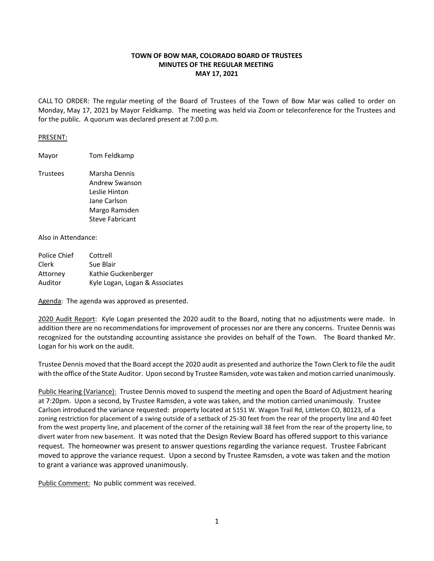## **TOWN OF BOW MAR, COLORADO BOARD OF TRUSTEES MINUTES OF THE REGULAR MEETING MAY 17, 2021**

CALL TO ORDER: The regular meeting of the Board of Trustees of the Town of Bow Mar was called to order on Monday, May 17, 2021 by Mayor Feldkamp. The meeting was held via Zoom or teleconference for the Trustees and for the public. A quorum was declared present at 7:00 p.m.

## PRESENT:

Mayor Tom Feldkamp

Trustees Marsha Dennis Andrew Swanson Leslie Hinton Jane Carlson Margo Ramsden Steve Fabricant

Also in Attendance:

| Police Chief | Cottrell                       |
|--------------|--------------------------------|
| Clerk        | Sue Blair                      |
| Attorney     | Kathie Guckenberger            |
| Auditor      | Kyle Logan, Logan & Associates |

Agenda: The agenda was approved as presented.

2020 Audit Report: Kyle Logan presented the 2020 audit to the Board, noting that no adjustments were made. In addition there are no recommendations for improvement of processes nor are there any concerns. Trustee Dennis was recognized for the outstanding accounting assistance she provides on behalf of the Town. The Board thanked Mr. Logan for his work on the audit.

Trustee Dennis moved that the Board accept the 2020 audit as presented and authorize the Town Clerk to file the audit with the office of the State Auditor. Upon second by Trustee Ramsden, vote was taken and motion carried unanimously.

Public Hearing (Variance): Trustee Dennis moved to suspend the meeting and open the Board of Adjustment hearing at 7:20pm. Upon a second, by Trustee Ramsden, a vote was taken, and the motion carried unanimously. Trustee Carlson introduced the variance requested: property located at 5151 W. Wagon Trail Rd, Littleton CO, 80123, of a zoning restriction for placement of a swing outside of a setback of 25-30 feet from the rear of the property line and 40 feet from the west property line, and placement of the corner of the retaining wall 38 feet from the rear of the property line, to divert water from new basement. It was noted that the Design Review Board has offered support to this variance request. The homeowner was present to answer questions regarding the variance request. Trustee Fabricant moved to approve the variance request. Upon a second by Trustee Ramsden, a vote was taken and the motion to grant a variance was approved unanimously.

Public Comment: No public comment was received.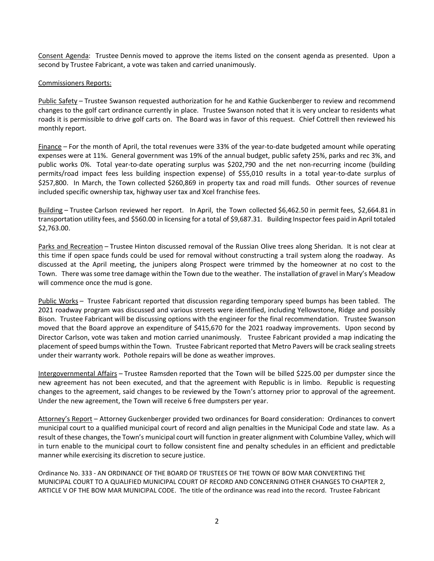Consent Agenda: Trustee Dennis moved to approve the items listed on the consent agenda as presented. Upon a second by Trustee Fabricant, a vote was taken and carried unanimously.

## Commissioners Reports:

Public Safety – Trustee Swanson requested authorization for he and Kathie Guckenberger to review and recommend changes to the golf cart ordinance currently in place. Trustee Swanson noted that it is very unclear to residents what roads it is permissible to drive golf carts on. The Board was in favor of this request. Chief Cottrell then reviewed his monthly report.

Finance – For the month of April, the total revenues were 33% of the year-to-date budgeted amount while operating expenses were at 11%. General government was 19% of the annual budget, public safety 25%, parks and rec 3%, and public works 0%. Total year-to-date operating surplus was \$202,790 and the net non-recurring income (building permits/road impact fees less building inspection expense) of \$55,010 results in a total year-to-date surplus of \$257,800. In March, the Town collected \$260,869 in property tax and road mill funds. Other sources of revenue included specific ownership tax, highway user tax and Xcel franchise fees.

Building – Trustee Carlson reviewed her report. In April, the Town collected \$6,462.50 in permit fees, \$2,664.81 in transportation utility fees, and \$560.00 in licensing for a total of \$9,687.31. Building Inspector fees paid in April totaled \$2,763.00.

Parks and Recreation – Trustee Hinton discussed removal of the Russian Olive trees along Sheridan. It is not clear at this time if open space funds could be used for removal without constructing a trail system along the roadway. As discussed at the April meeting, the junipers along Prospect were trimmed by the homeowner at no cost to the Town. There was some tree damage within the Town due to the weather. The installation of gravel in Mary's Meadow will commence once the mud is gone.

Public Works – Trustee Fabricant reported that discussion regarding temporary speed bumps has been tabled. The 2021 roadway program was discussed and various streets were identified, including Yellowstone, Ridge and possibly Bison. Trustee Fabricant will be discussing options with the engineer for the final recommendation. Trustee Swanson moved that the Board approve an expenditure of \$415,670 for the 2021 roadway improvements. Upon second by Director Carlson, vote was taken and motion carried unanimously. Trustee Fabricant provided a map indicating the placement of speed bumps within the Town. Trustee Fabricant reported that Metro Pavers will be crack sealing streets under their warranty work. Pothole repairs will be done as weather improves.

Intergovernmental Affairs – Trustee Ramsden reported that the Town will be billed \$225.00 per dumpster since the new agreement has not been executed, and that the agreement with Republic is in limbo. Republic is requesting changes to the agreement, said changes to be reviewed by the Town's attorney prior to approval of the agreement. Under the new agreement, the Town will receive 6 free dumpsters per year.

Attorney's Report – Attorney Guckenberger provided two ordinances for Board consideration: Ordinances to convert municipal court to a qualified municipal court of record and align penalties in the Municipal Code and state law. As a result of these changes, the Town's municipal court will function in greater alignment with Columbine Valley, which will in turn enable to the municipal court to follow consistent fine and penalty schedules in an efficient and predictable manner while exercising its discretion to secure justice.

Ordinance No. 333 - AN ORDINANCE OF THE BOARD OF TRUSTEES OF THE TOWN OF BOW MAR CONVERTING THE MUNICIPAL COURT TO A QUALIFIED MUNICIPAL COURT OF RECORD AND CONCERNING OTHER CHANGES TO CHAPTER 2, ARTICLE V OF THE BOW MAR MUNICIPAL CODE. The title of the ordinance was read into the record. Trustee Fabricant